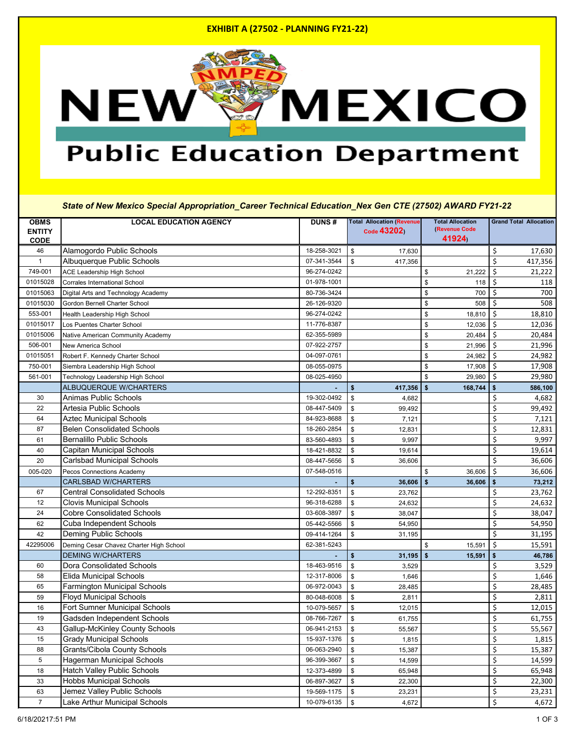#### **EXHIBIT A (27502 - PLANNING FY21-22)**



# **Public Education Department**

*State of New Mexico Special Appropriation\_Career Technical Education\_Nex Gen CTE (27502) AWARD FY21-22*

| <b>OBMS</b>    | <b>LOCAL EDUCATION AGENCY</b>           | <b>DUNS#</b> | <b>Total Allocation (Revenue</b>  | <b>Total Allocation</b> | <b>Grand Total Allocation</b> |
|----------------|-----------------------------------------|--------------|-----------------------------------|-------------------------|-------------------------------|
| <b>ENTITY</b>  |                                         |              | Code 43202)                       | (Revenue Code           |                               |
| <b>CODE</b>    |                                         |              |                                   | 41924)                  |                               |
| 46             | Alamogordo Public Schools               | 18-258-3021  | $\sqrt[6]{\frac{1}{2}}$<br>17,630 |                         | \$<br>17,630                  |
| $\mathbf 1$    | Albuquerque Public Schools              | 07-341-3544  | \$<br>417,356                     |                         | \$<br>417,356                 |
| 749-001        | <b>ACE Leadership High School</b>       | 96-274-0242  |                                   | \$<br>21,222            | \$<br>21,222                  |
| 01015028       | Corrales International School           | 01-978-1001  |                                   | \$<br>118               | \$<br>118                     |
| 01015063       | Digital Arts and Technology Academy     | 80-736-3424  |                                   | \$<br>700               | \$<br>700                     |
| 01015030       | Gordon Bernell Charter School           | 26-126-9320  |                                   | \$<br>508               | \$<br>508                     |
| 553-001        | Health Leadership High School           | 96-274-0242  |                                   | \$<br>18,810            | \$<br>18,810                  |
| 01015017       | Los Puentes Charter School              | 11-776-8387  |                                   | \$<br>12,036            | \$<br>12,036                  |
| 01015006       | Native American Community Academy       | 62-355-5989  |                                   | \$<br>20,484            | \$<br>20,484                  |
| 506-001        | New America School                      | 07-922-2757  |                                   | \$<br>21,996            | \$<br>21,996                  |
| 01015051       | Robert F. Kennedy Charter School        | 04-097-0761  |                                   | \$<br>24,982            | $\zeta$<br>24,982             |
| 750-001        | Siembra Leadership High School          | 08-055-0975  |                                   | \$<br>17,908            | \$<br>17,908                  |
| 561-001        | Technology Leadership High School       | 08-025-4950  |                                   | \$<br>29,980            | \$<br>29,980                  |
|                | ALBUQUERQUE W/CHARTERS                  |              | \$<br>417,356                     | 168,744<br>\$           | \$<br>586,100                 |
| 30             | <b>Animas Public Schools</b>            | 19-302-0492  | \$<br>4,682                       |                         | \$<br>4,682                   |
| 22             | <b>Artesia Public Schools</b>           | 08-447-5409  | \$<br>99,492                      |                         | \$<br>99,492                  |
| 64             | <b>Aztec Municipal Schools</b>          | 84-923-8688  | \$<br>7,121                       |                         | \$<br>7,121                   |
| 87             | <b>Belen Consolidated Schools</b>       | 18-260-2854  | \$<br>12,831                      |                         | \$<br>12,831                  |
| 61             | <b>Bernalillo Public Schools</b>        | 83-560-4893  | \$<br>9,997                       |                         | \$<br>9,997                   |
| 40             | <b>Capitan Municipal Schools</b>        | 18-421-8832  | \$<br>19,614                      |                         | \$<br>19,614                  |
| 20             | <b>Carlsbad Municipal Schools</b>       | 08-447-5656  | \$<br>36,606                      |                         | \$<br>36,606                  |
| 005-020        | Pecos Connections Academy               | 07-548-0516  |                                   | \$<br>36,606            | \$<br>36,606                  |
|                | <b>CARLSBAD W/CHARTERS</b>              |              | $\boldsymbol{\$}$<br>36,606       | \$<br>36,606            | \$<br>73,212                  |
| 67             | <b>Central Consolidated Schools</b>     | 12-292-8351  | \$<br>23,762                      |                         | \$<br>23,762                  |
| 12             | <b>Clovis Municipal Schools</b>         | 96-318-6288  | $\sqrt[6]{\frac{1}{2}}$<br>24,632 |                         | \$<br>24,632                  |
| 24             | <b>Cobre Consolidated Schools</b>       | 03-608-3897  | \$<br>38,047                      |                         | \$<br>38,047                  |
| 62             | <b>Cuba Independent Schools</b>         | 05-442-5566  | $\sqrt[6]{\frac{1}{2}}$<br>54,950 |                         | \$<br>54,950                  |
| 42             | Deming Public Schools                   | 09-414-1264  | $\sqrt[6]{3}$<br>31,195           |                         | \$<br>31,195                  |
| 42295006       | Deming Cesar Chavez Charter High School | 62-381-5243  |                                   | \$<br>15,591            | \$<br>15,591                  |
|                | <b>DEMING W/CHARTERS</b>                |              | \$<br>$31,195$ \$                 | 15,591                  | \$<br>46,786                  |
| 60             | <b>Dora Consolidated Schools</b>        | 18-463-9516  | \$<br>3,529                       |                         | \$<br>3,529                   |
| 58             | <b>Elida Municipal Schools</b>          | 12-317-8006  | $\sqrt[6]{2}$<br>1,646            |                         | \$<br>1,646                   |
| 65             | <b>Farmington Municipal Schools</b>     | 06-972-0043  | $\sqrt[6]{2}$<br>28,485           |                         | \$<br>28,485                  |
| 59             | <b>Floyd Municipal Schools</b>          | 80-048-6008  | \$<br>2,811                       |                         | \$<br>2,811                   |
| 16             | Fort Sumner Municipal Schools           | 10-079-5657  | \$<br>12,015                      |                         | \$<br>12,015                  |
| 19             | Gadsden Independent Schools             | 08-766-7267  | $\sqrt[6]{\frac{1}{2}}$<br>61,755 |                         | \$<br>61,755                  |
| 43             | <b>Gallup-McKinley County Schools</b>   | 06-941-2153  | \$<br>55,567                      |                         | \$<br>55,567                  |
| 15             | <b>Grady Municipal Schools</b>          | 15-937-1376  | $\sqrt[6]{\frac{1}{2}}$<br>1,815  |                         | \$<br>1,815                   |
| 88             | <b>Grants/Cibola County Schools</b>     | 06-063-2940  | \$<br>15,387                      |                         | \$<br>15,387                  |
| 5              | <b>Hagerman Municipal Schools</b>       | 96-399-3667  | \$<br>14,599                      |                         | \$<br>14,599                  |
| 18             | <b>Hatch Valley Public Schools</b>      | 12-373-4899  | \$<br>65,948                      |                         | \$<br>65,948                  |
| 33             | <b>Hobbs Municipal Schools</b>          | 06-897-3627  | \$<br>22,300                      |                         | \$<br>22,300                  |
| 63             | Jemez Valley Public Schools             | 19-569-1175  | \$<br>23,231                      |                         | \$<br>23,231                  |
| $\overline{7}$ | Lake Arthur Municipal Schools           | 10-079-6135  | $$\mathbb{S}$$<br>4,672           |                         | \$<br>4,672                   |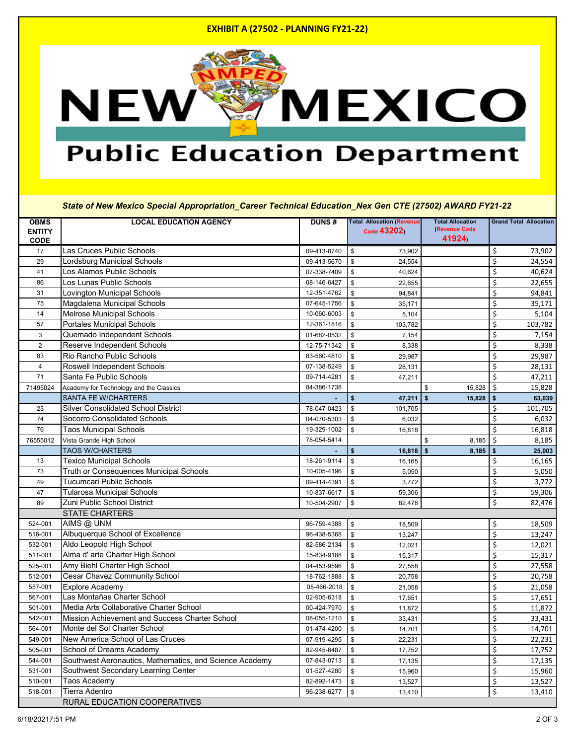### **EXHIBIT A (27502 - PLANNING FY21-22)**



# **Public Education Department**

*State of New Mexico Special Appropriation\_Career Technical Education\_Nex Gen CTE (27502) AWARD FY21-22*

| <b>OBMS</b>    | <b>LOCAL EDUCATION AGENCY</b>                           | <b>DUNS#</b> | <b>Total Allocation (Revenue</b>  | <b>Total Allocation</b> | <b>Grand Total Allocation</b> |
|----------------|---------------------------------------------------------|--------------|-----------------------------------|-------------------------|-------------------------------|
| <b>ENTITY</b>  |                                                         |              | Code 43202)                       | (Revenue Code<br>41924) |                               |
| <b>CODE</b>    |                                                         |              |                                   |                         |                               |
| 17             | Las Cruces Public Schools                               | 09-413-8740  | \$<br>73,902                      |                         | \$<br>73,902                  |
| 29             | Lordsburg Municipal Schools                             | 09-413-5670  | 24,554<br>\$                      |                         | \$<br>24,554                  |
| 41             | Los Alamos Public Schools                               | 07-338-7409  | \$<br>40,624                      |                         | \$<br>40,624                  |
| 86             | Los Lunas Public Schools                                | 08-146-6427  | \$<br>22,655                      |                         | \$<br>22,655                  |
| 31             | Lovington Municipal Schools                             | 12-351-4762  | \$<br>94,841                      |                         | \$<br>94,841                  |
| 75             | Magdalena Municipal Schools                             | 07-645-1756  | \$<br>35,171                      |                         | \$<br>35,171                  |
| 14             | <b>Melrose Municipal Schools</b>                        | 10-060-6003  | \$<br>5,104                       |                         | \$<br>5,104                   |
| 57             | <b>Portales Municipal Schools</b>                       | 12-361-1816  | \$<br>103,782                     |                         | \$<br>103,782                 |
| $\mathbf{3}$   | Quemado Independent Schools                             | 01-682-0532  | \$<br>7,154                       |                         | \$<br>7,154                   |
| $\overline{2}$ | Reserve Independent Schools                             | 12-75-71342  | \$<br>8,338                       |                         | \$<br>8,338                   |
| 83             | <b>Rio Rancho Public Schools</b>                        | 83-560-4810  | \$<br>29,987                      |                         | \$<br>29,987                  |
| 4              | <b>Roswell Independent Schools</b>                      | 07-138-5249  | \$<br>28,131                      |                         | \$<br>28,131                  |
| 71             | Santa Fe Public Schools                                 | 09-714-4281  | $\mathfrak{S}$<br>47,211          |                         | \$<br>47,211                  |
| 71495024       | Academy for Technology and the Classics                 | 84-386-1738  |                                   | \$<br>15,828            | $\zeta$<br>15,828             |
|                | <b>SANTA FE W/CHARTERS</b>                              |              | \$<br>$47,211$ \$                 | 15,828                  | 63,039<br>\$                  |
| 23             | <b>Silver Consolidated School District</b>              | 78-047-0423  | \$<br>101,705                     |                         | \$<br>101,705                 |
| 74             | <b>Socorro Consolidated Schools</b>                     | 04-070-5303  | \$<br>6,032                       |                         | \$<br>6,032                   |
| 76             | <b>Taos Municipal Schools</b>                           | 19-329-1002  | \$<br>16,818                      |                         | $\zeta$<br>16,818             |
| 76555012       | Vista Grande High School                                | 78-054-5414  |                                   | 8,185<br>\$             | $\zeta$<br>8,185              |
|                | <b>TAOS W/CHARTERS</b>                                  |              | \$<br>$16,818$   \$               | 8,185                   | \$<br>25,003                  |
| 13             | <b>Texico Municipal Schools</b>                         | 18-261-9114  | \$<br>16,165                      |                         | \$<br>16,165                  |
| 73             | <b>Truth or Consequences Municipal Schools</b>          | 10-005-4196  | \$<br>5,050                       |                         | \$<br>5,050                   |
| 49             | <b>Tucumcari Public Schools</b>                         | 09-414-4391  | \$<br>3,772                       |                         | \$<br>3,772                   |
| 47             | <b>Tularosa Municipal Schools</b>                       | 10-837-6617  | 59,306<br>\$                      |                         | \$<br>59,306                  |
| 89             | Zuni Public School District                             | 10-504-2907  | \$<br>82,476                      |                         | \$<br>82,476                  |
|                | <b>STATE CHARTERS</b>                                   |              |                                   |                         |                               |
| 524-001        | AIMS @ UNM                                              | 96-759-4388  | 18,509<br>\$                      |                         | \$<br>18,509                  |
| 516-001        | Albuquerque School of Excellence                        | 96-438-5368  | \$<br>13,247                      |                         | \$<br>13,247                  |
| 532-001        | Aldo Leopold High School                                | 82-586-2134  | 12,021<br>\$                      |                         | \$<br>12,021                  |
| 511-001        | Alma d' arte Charter High School                        | 15-834-9188  | 15,317<br>\$                      |                         | \$<br>15,317                  |
| 525-001        | Amy Biehl Charter High School                           | 04-453-9596  | \$<br>27,558                      |                         | \$<br>27,558                  |
| 512-001        | Cesar Chavez Community School                           | 18-762-1888  | \$<br>20,758                      |                         | \$<br>20,758                  |
| 557-001        | <b>Explore Academy</b>                                  | 05-466-2018  | $\sqrt[6]{\frac{1}{2}}$<br>21,058 |                         | \$<br>21,058                  |
| 567-001        | Las Montañas Charter School                             | 02-905-6318  |                                   |                         | \$                            |
|                | Media Arts Collaborative Charter School                 |              | \$<br>17,651                      |                         | 17,651                        |
| 501-001        |                                                         | 00-424-7970  | $\sqrt[6]{\frac{1}{2}}$<br>11,872 |                         | \$<br>11,872                  |
| 542-001        | Mission Achievement and Success Charter School          | 08-055-1210  | $\sqrt[6]{\frac{1}{2}}$<br>33,431 |                         | \$<br>33,431                  |
| 564-001        | Monte del Sol Charter School                            | 01-474-4200  | \$<br>14,701                      |                         | \$<br>14,701                  |
| 549-001        | New America School of Las Cruces                        | 07-919-4295  | \$<br>22,231                      |                         | \$<br>22,231                  |
| 505-001        | School of Dreams Academy                                | 82-945-6487  | \$<br>17,752                      |                         | \$<br>17,752                  |
| 544-001        | Southwest Aeronautics, Mathematics, and Science Academy | 07-843-0713  | \$<br>17,135                      |                         | \$<br>17,135                  |
| 531-001        | Southwest Secondary Learning Center                     | 01-527-4280  | \$<br>15,960                      |                         | \$<br>15,960                  |
| 510-001        | Taos Academy                                            | 82-892-1473  | \$<br>13,527                      |                         | \$<br>13,527                  |
| 518-001        | <b>Tierra Adentro</b>                                   | 96-238-6277  | \$<br>13,410                      |                         | \$<br>13,410                  |
|                | <b>RURAL EDUCATION COOPERATIVES</b>                     |              |                                   |                         |                               |